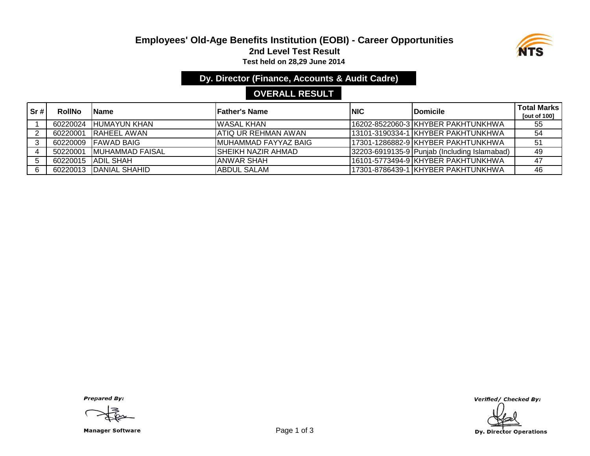#### **Employees' Old-Age Benefits Institution (EOBI) - Career Opportunities 2nd Level Test Result Test held on 28,29 June 2014**



**Dy. Director (Finance, Accounts & Audit Cadre)**

# **OVERALL RESULT**

| Sr# | <b>RollNo</b> | lName                  | <b>'Father's Name</b> | <b>INIC</b> | <b>Domicile</b>                              | <b>Total Marks</b><br>[out of 100] |
|-----|---------------|------------------------|-----------------------|-------------|----------------------------------------------|------------------------------------|
|     | 60220024      | IHUMAYUN KHAN          | IWASAL KHAN           |             | 16202-8522060-3 KHYBER PAKHTUNKHWA           | 55                                 |
|     | 60220001      | IRAHEEL AWAN           | IATIQ UR REHMAN AWAN  |             | 113101-3190334-1 KHYBER PAKHTUNKHWA          | 54                                 |
|     |               | 60220009 FAWAD BAIG    | IMUHAMMAD FAYYAZ BAIG |             | 17301-1286882-9 KHYBER PAKHTUNKHWA           | 51                                 |
|     | 50220001      | MUHAMMAD FAISAL        | ISHEIKH NAZIR AHMAD   |             | 32203-6919135-9 Punjab (Including Islamabad) | 49                                 |
|     |               | 60220015   ADIL SHAH   | ANWAR SHAH            |             | 16101-5773494-9 KHYBER PAKHTUNKHWA           | 47                                 |
|     |               | 60220013 DANIAL SHAHID | <b>ABDUL SALAM</b>    |             | 17301-8786439-1 KHYBER PAKHTUNKHWA           | 46                                 |

**Prepared By:** 

Manager Software **Example 2 and Software** Page 1 of 3

Verified/ Checked By:

**Dy. Director Operations**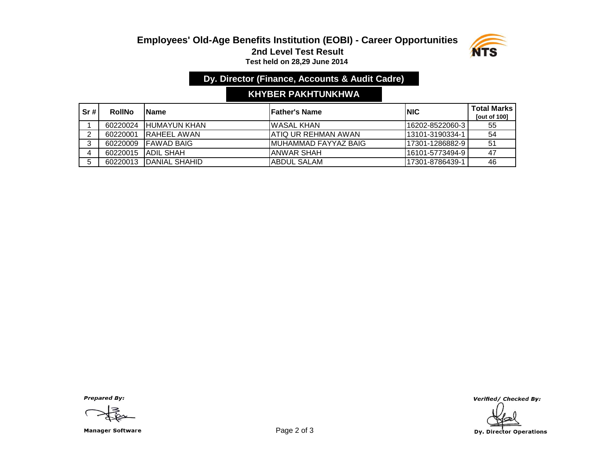#### **Employees' Old-Age Benefits Institution (EOBI) - Career Opportunities 2nd Level Test Result Test held on 28,29 June 2014**



## **Dy. Director (Finance, Accounts & Audit Cadre)**

## **KHYBER PAKHTUNKHWA**

| Sr# | <b>RollNo</b> | <b>IName</b>         | lFather's Name        | <b>INIC</b>      | <b>Total Marks</b><br><b>Tout of 1001</b> |
|-----|---------------|----------------------|-----------------------|------------------|-------------------------------------------|
|     | 60220024      | <b>IHUMAYUN KHAN</b> | IWASAL KHAN           | 116202-8522060-3 | -55                                       |
| ົ   | 60220001      | <b>IRAHEEL AWAN</b>  | IATIQ UR REHMAN AWAN  | 113101-3190334-1 | -54                                       |
| ◠   | 60220009      | <b>IFAWAD BAIG</b>   | IMUHAMMAD FAYYAZ BAIG | 117301-1286882-9 | 51                                        |
|     | 60220015      | <b>JADIL SHAH</b>    | IANWAR SHAH           | 116101-5773494-9 | -47                                       |
| 5   | 60220013      | IDANIAL SHAHID       | ABDUL SALAM           | l17301-8786439-1 | 46                                        |

**Prepared By:** 

Manager Software **Example 2 of 3** 

Verified/ Checked By: